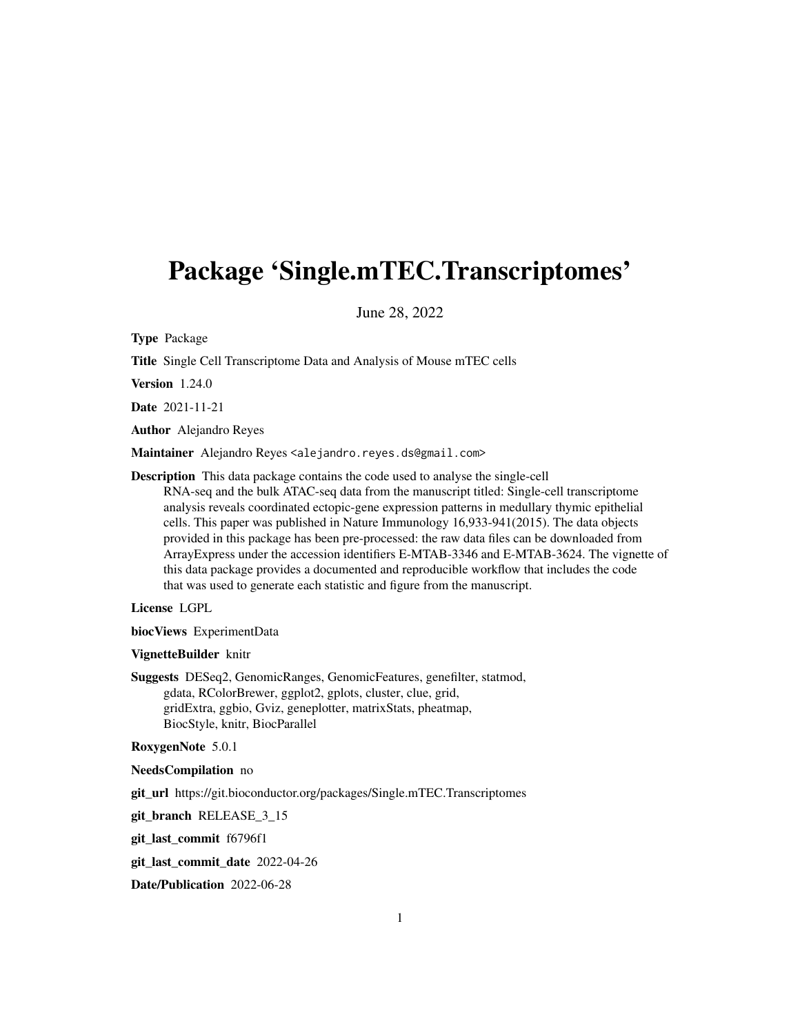## Package 'Single.mTEC.Transcriptomes'

June 28, 2022

Type Package

Title Single Cell Transcriptome Data and Analysis of Mouse mTEC cells

Version 1.24.0

Date 2021-11-21

Author Alejandro Reyes

Maintainer Alejandro Reyes <alejandro.reyes.ds@gmail.com>

Description This data package contains the code used to analyse the single-cell RNA-seq and the bulk ATAC-seq data from the manuscript titled: Single-cell transcriptome analysis reveals coordinated ectopic-gene expression patterns in medullary thymic epithelial cells. This paper was published in Nature Immunology 16,933-941(2015). The data objects provided in this package has been pre-processed: the raw data files can be downloaded from ArrayExpress under the accession identifiers E-MTAB-3346 and E-MTAB-3624. The vignette of this data package provides a documented and reproducible workflow that includes the code that was used to generate each statistic and figure from the manuscript.

License LGPL

biocViews ExperimentData

#### VignetteBuilder knitr

Suggests DESeq2, GenomicRanges, GenomicFeatures, genefilter, statmod, gdata, RColorBrewer, ggplot2, gplots, cluster, clue, grid, gridExtra, ggbio, Gviz, geneplotter, matrixStats, pheatmap, BiocStyle, knitr, BiocParallel

#### RoxygenNote 5.0.1

NeedsCompilation no

git\_url https://git.bioconductor.org/packages/Single.mTEC.Transcriptomes

git\_branch RELEASE\_3\_15

git\_last\_commit f6796f1

git\_last\_commit\_date 2022-04-26

Date/Publication 2022-06-28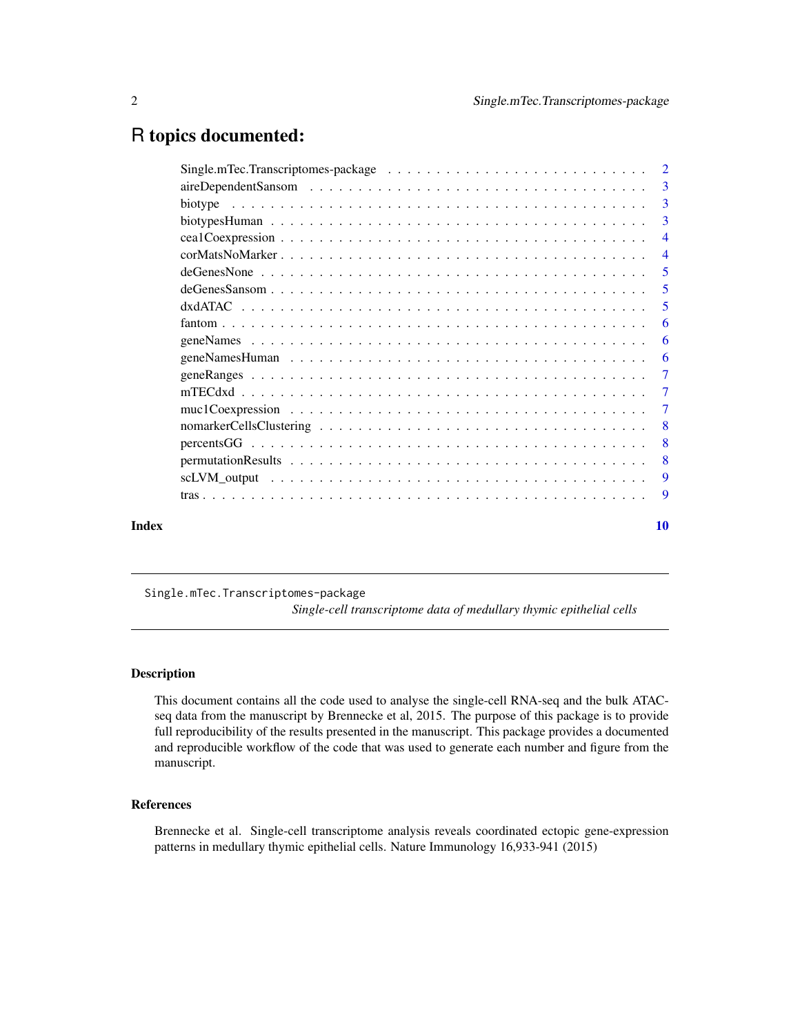## <span id="page-1-0"></span>R topics documented:

|       | -3             |
|-------|----------------|
|       | 3              |
|       | $\overline{3}$ |
|       | $\overline{4}$ |
|       | $\overline{4}$ |
|       | 5              |
|       | $\overline{5}$ |
|       | 5              |
|       | 6              |
|       | 6              |
|       | -6             |
|       | $\overline{7}$ |
|       | $\overline{7}$ |
|       | -7             |
|       | -8             |
|       | 8              |
|       | 8              |
|       | 9              |
|       | -9             |
| Index | <b>10</b>      |

Single.mTec.Transcriptomes-package

*Single-cell transcriptome data of medullary thymic epithelial cells*

## Description

This document contains all the code used to analyse the single-cell RNA-seq and the bulk ATACseq data from the manuscript by Brennecke et al, 2015. The purpose of this package is to provide full reproducibility of the results presented in the manuscript. This package provides a documented and reproducible workflow of the code that was used to generate each number and figure from the manuscript.

## References

Brennecke et al. Single-cell transcriptome analysis reveals coordinated ectopic gene-expression patterns in medullary thymic epithelial cells. Nature Immunology 16,933-941 (2015)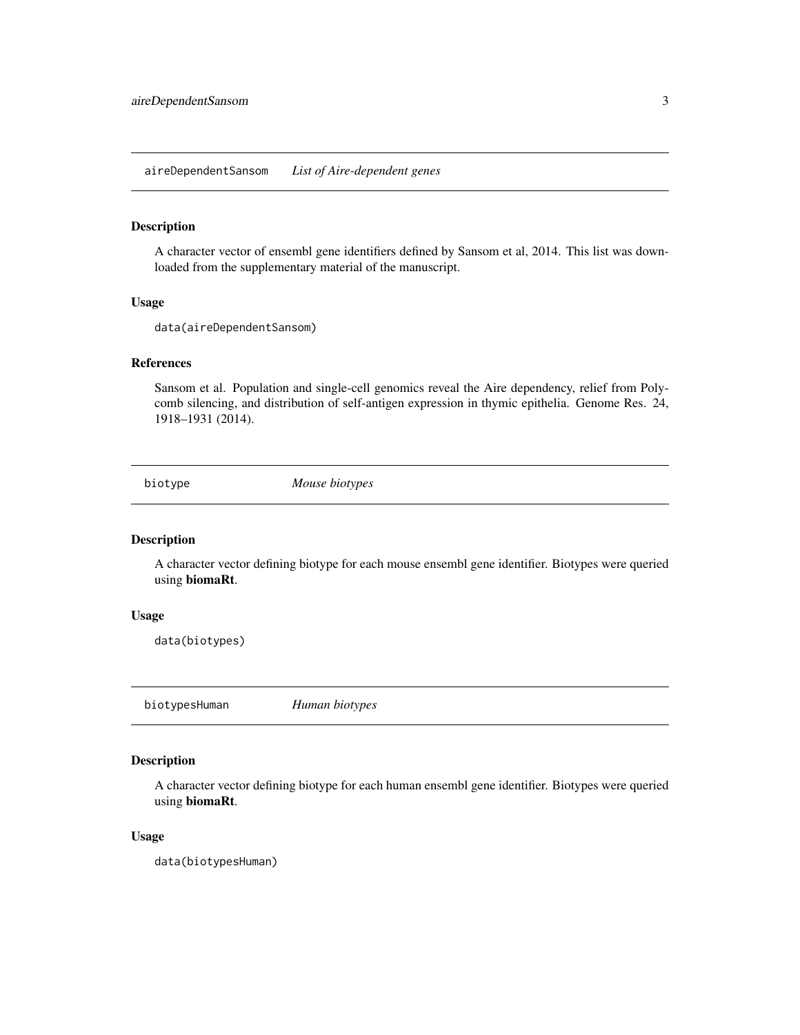<span id="page-2-0"></span>aireDependentSansom *List of Aire-dependent genes*

#### Description

A character vector of ensembl gene identifiers defined by Sansom et al, 2014. This list was downloaded from the supplementary material of the manuscript.

#### Usage

data(aireDependentSansom)

## References

Sansom et al. Population and single-cell genomics reveal the Aire dependency, relief from Polycomb silencing, and distribution of self-antigen expression in thymic epithelia. Genome Res. 24, 1918–1931 (2014).

biotype *Mouse biotypes*

#### Description

A character vector defining biotype for each mouse ensembl gene identifier. Biotypes were queried using biomaRt.

#### Usage

data(biotypes)

biotypesHuman *Human biotypes*

#### Description

A character vector defining biotype for each human ensembl gene identifier. Biotypes were queried using biomaRt.

#### Usage

data(biotypesHuman)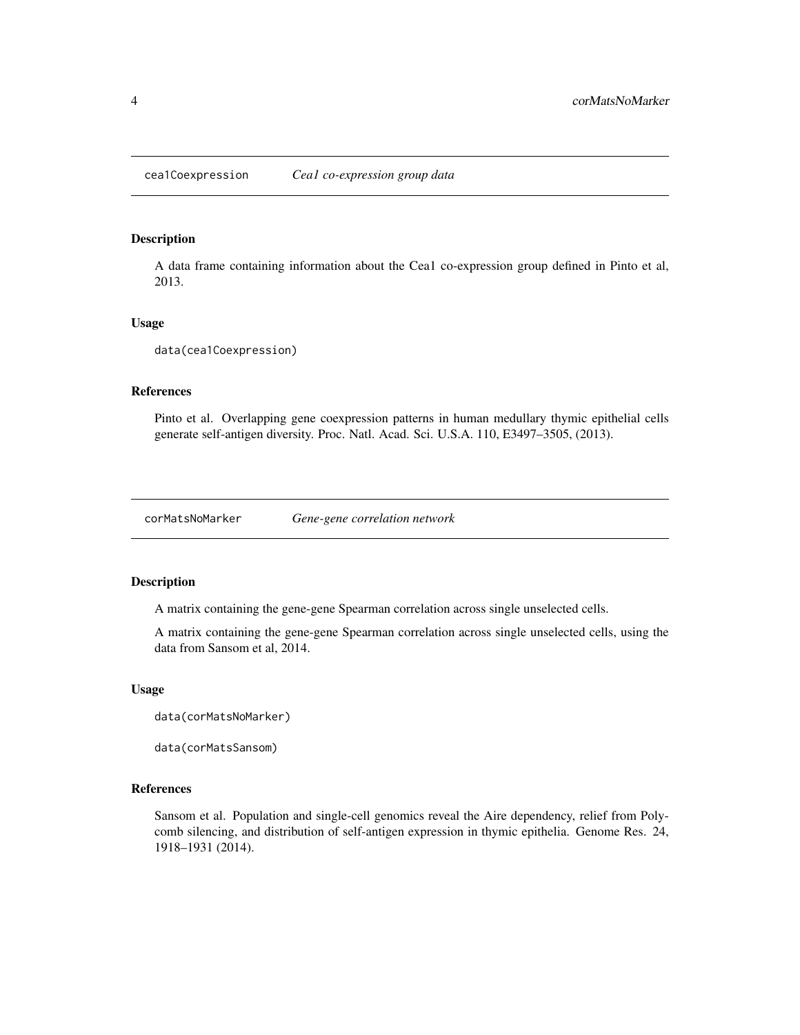<span id="page-3-0"></span>A data frame containing information about the Cea1 co-expression group defined in Pinto et al, 2013.

#### Usage

data(cea1Coexpression)

## References

Pinto et al. Overlapping gene coexpression patterns in human medullary thymic epithelial cells generate self-antigen diversity. Proc. Natl. Acad. Sci. U.S.A. 110, E3497–3505, (2013).

corMatsNoMarker *Gene-gene correlation network*

## Description

A matrix containing the gene-gene Spearman correlation across single unselected cells.

A matrix containing the gene-gene Spearman correlation across single unselected cells, using the data from Sansom et al, 2014.

#### Usage

data(corMatsNoMarker)

data(corMatsSansom)

#### References

Sansom et al. Population and single-cell genomics reveal the Aire dependency, relief from Polycomb silencing, and distribution of self-antigen expression in thymic epithelia. Genome Res. 24, 1918–1931 (2014).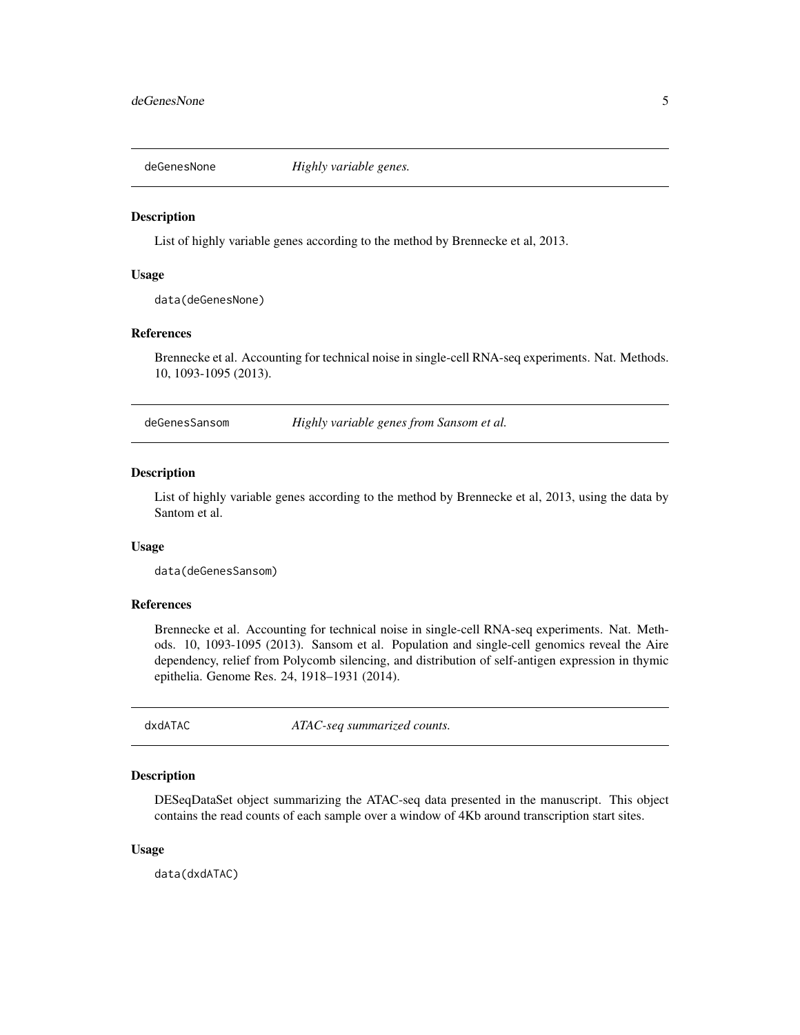<span id="page-4-0"></span>

List of highly variable genes according to the method by Brennecke et al, 2013.

#### Usage

data(deGenesNone)

## References

Brennecke et al. Accounting for technical noise in single-cell RNA-seq experiments. Nat. Methods. 10, 1093-1095 (2013).

deGenesSansom *Highly variable genes from Sansom et al.*

## Description

List of highly variable genes according to the method by Brennecke et al, 2013, using the data by Santom et al.

## Usage

data(deGenesSansom)

## References

Brennecke et al. Accounting for technical noise in single-cell RNA-seq experiments. Nat. Methods. 10, 1093-1095 (2013). Sansom et al. Population and single-cell genomics reveal the Aire dependency, relief from Polycomb silencing, and distribution of self-antigen expression in thymic epithelia. Genome Res. 24, 1918–1931 (2014).

dxdATAC *ATAC-seq summarized counts.*

#### Description

DESeqDataSet object summarizing the ATAC-seq data presented in the manuscript. This object contains the read counts of each sample over a window of 4Kb around transcription start sites.

#### Usage

data(dxdATAC)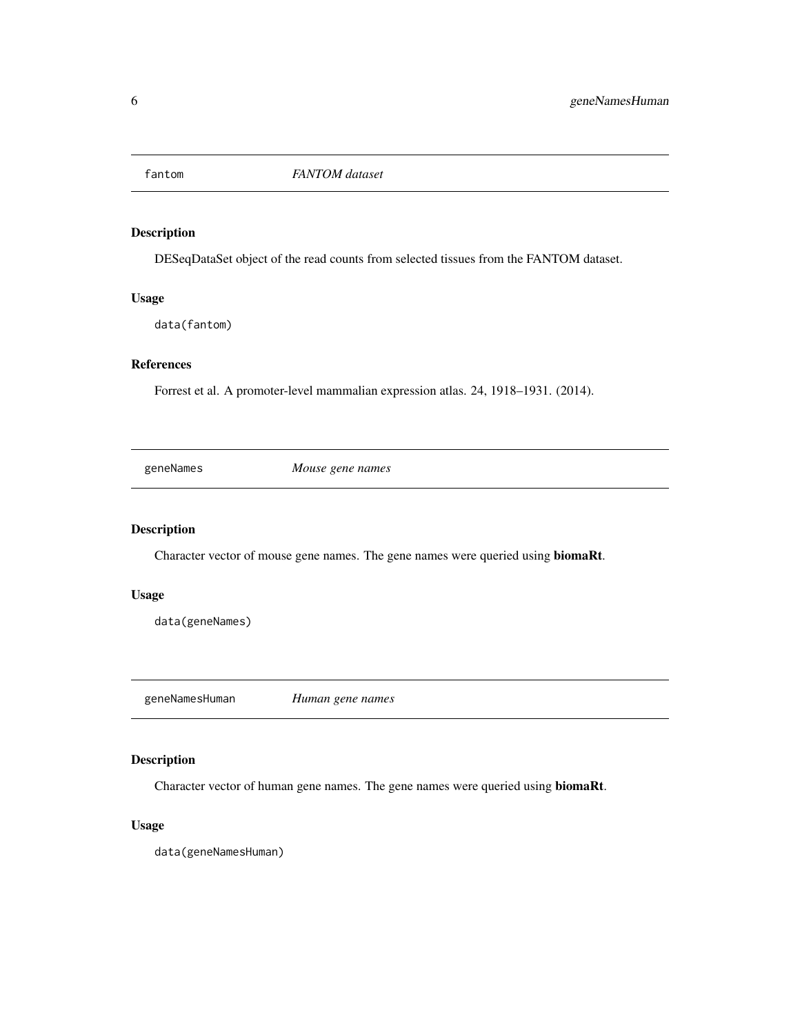<span id="page-5-0"></span>

DESeqDataSet object of the read counts from selected tissues from the FANTOM dataset.

## Usage

data(fantom)

## References

Forrest et al. A promoter-level mammalian expression atlas. 24, 1918–1931. (2014).

geneNames *Mouse gene names*

## Description

Character vector of mouse gene names. The gene names were queried using biomaRt.

## Usage

data(geneNames)

geneNamesHuman *Human gene names*

## Description

Character vector of human gene names. The gene names were queried using biomaRt.

## Usage

data(geneNamesHuman)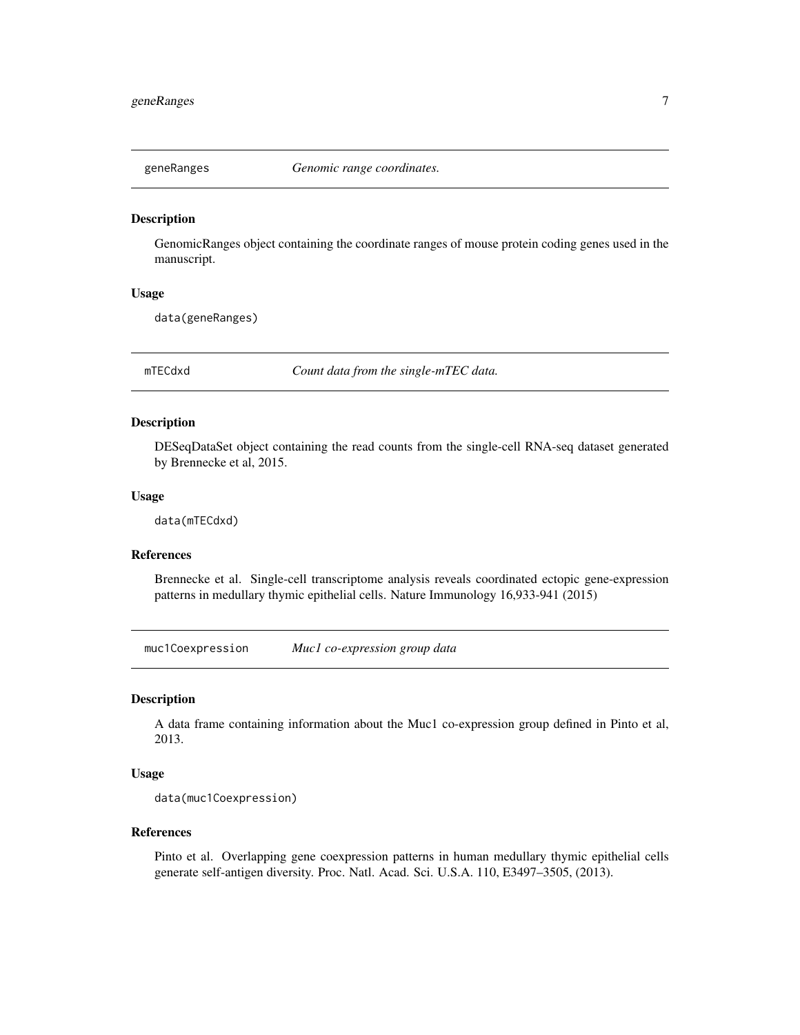<span id="page-6-0"></span>

GenomicRanges object containing the coordinate ranges of mouse protein coding genes used in the manuscript.

## Usage

data(geneRanges)

mTECdxd *Count data from the single-mTEC data.*

#### Description

DESeqDataSet object containing the read counts from the single-cell RNA-seq dataset generated by Brennecke et al, 2015.

#### Usage

data(mTECdxd)

## References

Brennecke et al. Single-cell transcriptome analysis reveals coordinated ectopic gene-expression patterns in medullary thymic epithelial cells. Nature Immunology 16,933-941 (2015)

muc1Coexpression *Muc1 co-expression group data*

#### Description

A data frame containing information about the Muc1 co-expression group defined in Pinto et al, 2013.

#### Usage

data(muc1Coexpression)

#### References

Pinto et al. Overlapping gene coexpression patterns in human medullary thymic epithelial cells generate self-antigen diversity. Proc. Natl. Acad. Sci. U.S.A. 110, E3497–3505, (2013).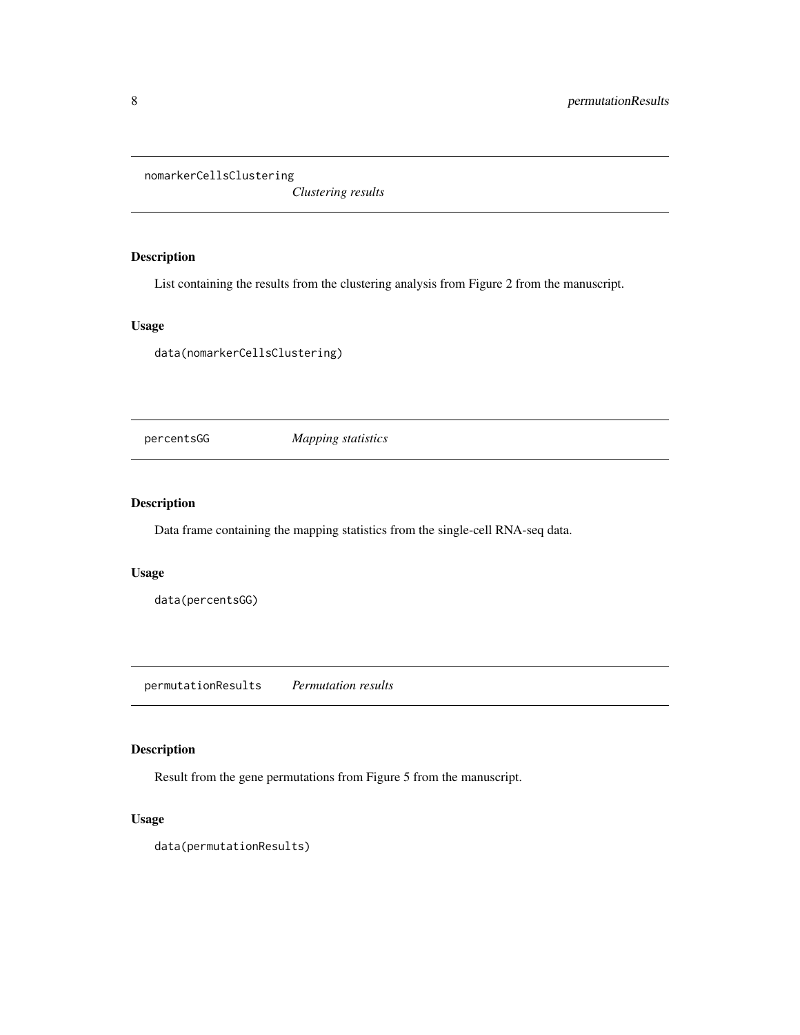<span id="page-7-0"></span>nomarkerCellsClustering

*Clustering results*

## Description

List containing the results from the clustering analysis from Figure 2 from the manuscript.

## Usage

data(nomarkerCellsClustering)

percentsGG *Mapping statistics*

## Description

Data frame containing the mapping statistics from the single-cell RNA-seq data.

#### Usage

data(percentsGG)

permutationResults *Permutation results*

## Description

Result from the gene permutations from Figure 5 from the manuscript.

## Usage

data(permutationResults)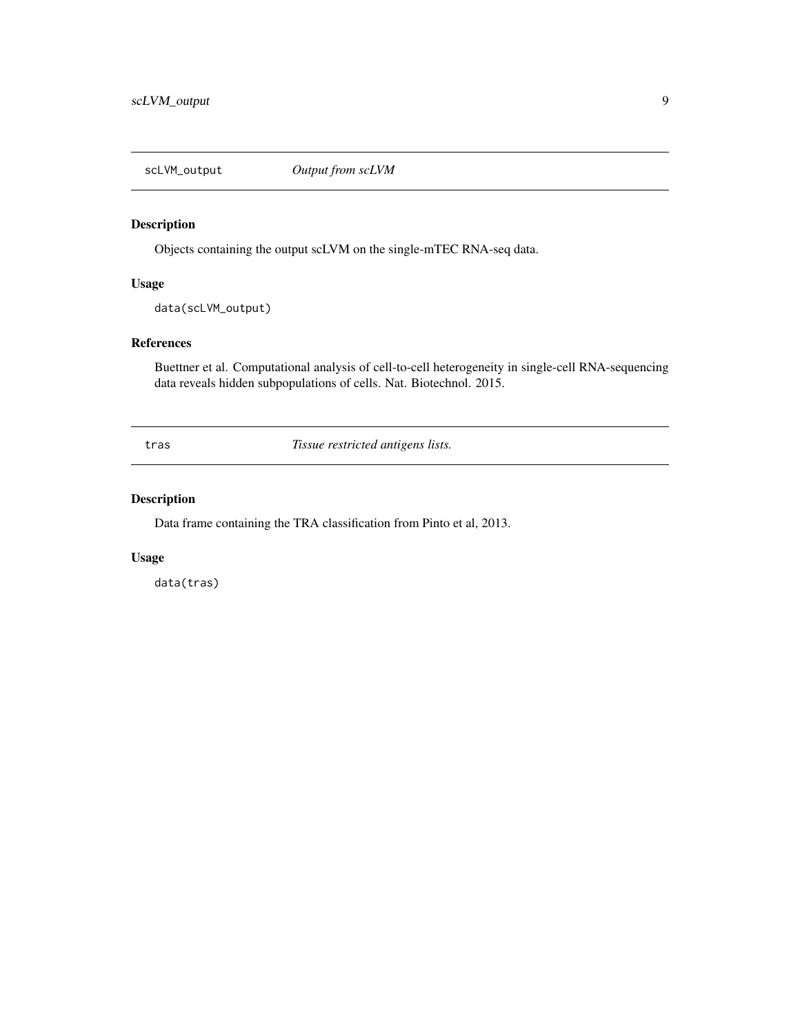<span id="page-8-0"></span>

Objects containing the output scLVM on the single-mTEC RNA-seq data.

## Usage

data(scLVM\_output)

## References

Buettner et al. Computational analysis of cell-to-cell heterogeneity in single-cell RNA-sequencing data reveals hidden subpopulations of cells. Nat. Biotechnol. 2015.

tras *Tissue restricted antigens lists.*

## Description

Data frame containing the TRA classification from Pinto et al, 2013.

#### Usage

data(tras)